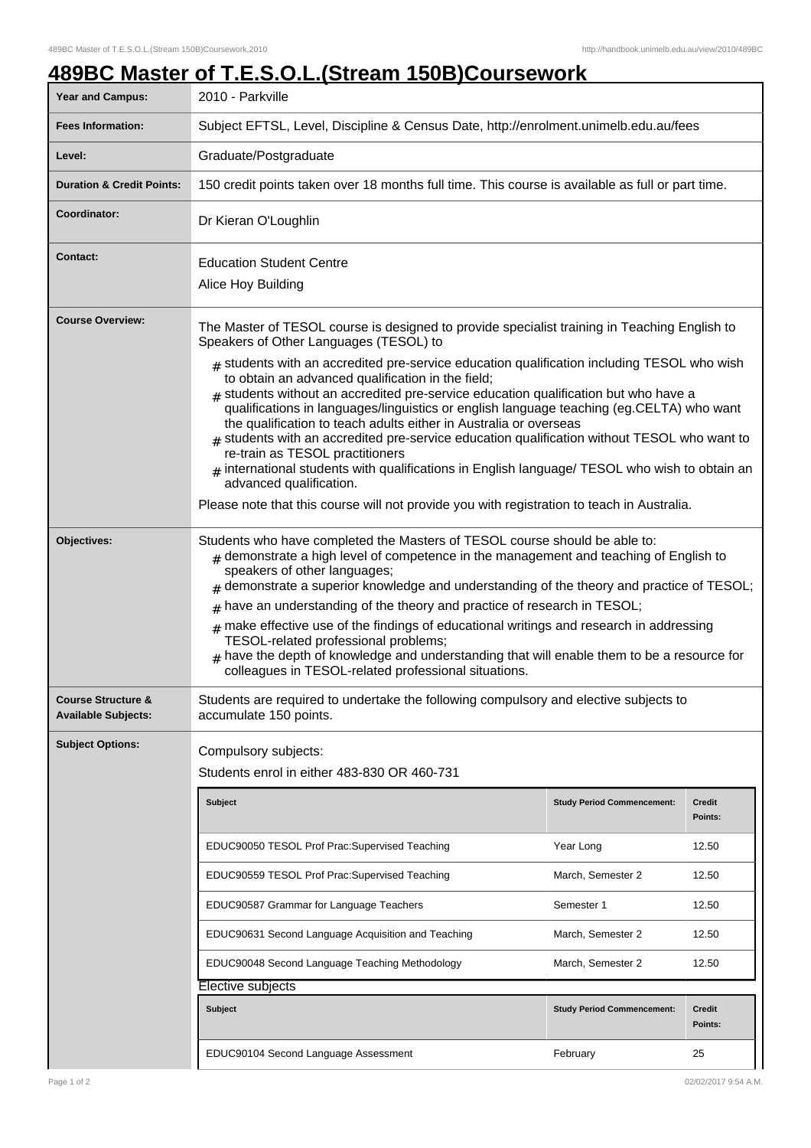## **489BC Master of T.E.S.O.L.(Stream 150B)Coursework**

| <b>Year and Campus:</b>                                     | <u>.</u><br>2010 - Parkville                                                                                                                                                                                                                                                                                                                                                                                                                                                                                                                                                                                                                                                                                                                                                                                                                                                                                                 |                                   |                          |  |
|-------------------------------------------------------------|------------------------------------------------------------------------------------------------------------------------------------------------------------------------------------------------------------------------------------------------------------------------------------------------------------------------------------------------------------------------------------------------------------------------------------------------------------------------------------------------------------------------------------------------------------------------------------------------------------------------------------------------------------------------------------------------------------------------------------------------------------------------------------------------------------------------------------------------------------------------------------------------------------------------------|-----------------------------------|--------------------------|--|
| <b>Fees Information:</b>                                    | Subject EFTSL, Level, Discipline & Census Date, http://enrolment.unimelb.edu.au/fees                                                                                                                                                                                                                                                                                                                                                                                                                                                                                                                                                                                                                                                                                                                                                                                                                                         |                                   |                          |  |
| Level:                                                      | Graduate/Postgraduate                                                                                                                                                                                                                                                                                                                                                                                                                                                                                                                                                                                                                                                                                                                                                                                                                                                                                                        |                                   |                          |  |
| <b>Duration &amp; Credit Points:</b>                        | 150 credit points taken over 18 months full time. This course is available as full or part time.                                                                                                                                                                                                                                                                                                                                                                                                                                                                                                                                                                                                                                                                                                                                                                                                                             |                                   |                          |  |
| Coordinator:                                                | Dr Kieran O'Loughlin                                                                                                                                                                                                                                                                                                                                                                                                                                                                                                                                                                                                                                                                                                                                                                                                                                                                                                         |                                   |                          |  |
| <b>Contact:</b>                                             | <b>Education Student Centre</b><br>Alice Hoy Building                                                                                                                                                                                                                                                                                                                                                                                                                                                                                                                                                                                                                                                                                                                                                                                                                                                                        |                                   |                          |  |
| <b>Course Overview:</b>                                     | The Master of TESOL course is designed to provide specialist training in Teaching English to<br>Speakers of Other Languages (TESOL) to<br>$_{\text{\#}}$ students with an accredited pre-service education qualification including TESOL who wish<br>to obtain an advanced qualification in the field;<br>$#$ students without an accredited pre-service education qualification but who have a<br>qualifications in languages/linguistics or english language teaching (eg.CELTA) who want<br>the qualification to teach adults either in Australia or overseas<br>students with an accredited pre-service education qualification without TESOL who want to<br>re-train as TESOL practitioners<br>$#$ international students with qualifications in English language/ TESOL who wish to obtain an<br>advanced qualification.<br>Please note that this course will not provide you with registration to teach in Australia. |                                   |                          |  |
| Objectives:                                                 | Students who have completed the Masters of TESOL course should be able to:<br>$#$ demonstrate a high level of competence in the management and teaching of English to<br>speakers of other languages;<br>demonstrate a superior knowledge and understanding of the theory and practice of TESOL;<br>have an understanding of the theory and practice of research in TESOL;<br>$\#$<br>make effective use of the findings of educational writings and research in addressing<br>#<br>TESOL-related professional problems;<br>have the depth of knowledge and understanding that will enable them to be a resource for<br>colleagues in TESOL-related professional situations.                                                                                                                                                                                                                                                 |                                   |                          |  |
| <b>Course Structure &amp;</b><br><b>Available Subjects:</b> | Students are required to undertake the following compulsory and elective subjects to<br>accumulate 150 points.                                                                                                                                                                                                                                                                                                                                                                                                                                                                                                                                                                                                                                                                                                                                                                                                               |                                   |                          |  |
| <b>Subject Options:</b>                                     | Compulsory subjects:<br>Students enrol in either 483-830 OR 460-731                                                                                                                                                                                                                                                                                                                                                                                                                                                                                                                                                                                                                                                                                                                                                                                                                                                          |                                   |                          |  |
|                                                             | <b>Subject</b>                                                                                                                                                                                                                                                                                                                                                                                                                                                                                                                                                                                                                                                                                                                                                                                                                                                                                                               | <b>Study Period Commencement:</b> | <b>Credit</b><br>Points: |  |
|                                                             | EDUC90050 TESOL Prof Prac:Supervised Teaching                                                                                                                                                                                                                                                                                                                                                                                                                                                                                                                                                                                                                                                                                                                                                                                                                                                                                | Year Long                         | 12.50                    |  |
|                                                             | EDUC90559 TESOL Prof Prac:Supervised Teaching                                                                                                                                                                                                                                                                                                                                                                                                                                                                                                                                                                                                                                                                                                                                                                                                                                                                                | March, Semester 2                 | 12.50                    |  |
|                                                             | EDUC90587 Grammar for Language Teachers                                                                                                                                                                                                                                                                                                                                                                                                                                                                                                                                                                                                                                                                                                                                                                                                                                                                                      | Semester 1                        | 12.50                    |  |
|                                                             | EDUC90631 Second Language Acquisition and Teaching                                                                                                                                                                                                                                                                                                                                                                                                                                                                                                                                                                                                                                                                                                                                                                                                                                                                           | March, Semester 2                 | 12.50                    |  |
|                                                             | EDUC90048 Second Language Teaching Methodology                                                                                                                                                                                                                                                                                                                                                                                                                                                                                                                                                                                                                                                                                                                                                                                                                                                                               | March, Semester 2                 | 12.50                    |  |
|                                                             | Elective subjects                                                                                                                                                                                                                                                                                                                                                                                                                                                                                                                                                                                                                                                                                                                                                                                                                                                                                                            |                                   |                          |  |
|                                                             | <b>Subject</b>                                                                                                                                                                                                                                                                                                                                                                                                                                                                                                                                                                                                                                                                                                                                                                                                                                                                                                               | <b>Study Period Commencement:</b> | Credit<br>Points:        |  |
|                                                             | EDUC90104 Second Language Assessment                                                                                                                                                                                                                                                                                                                                                                                                                                                                                                                                                                                                                                                                                                                                                                                                                                                                                         | February                          | 25                       |  |